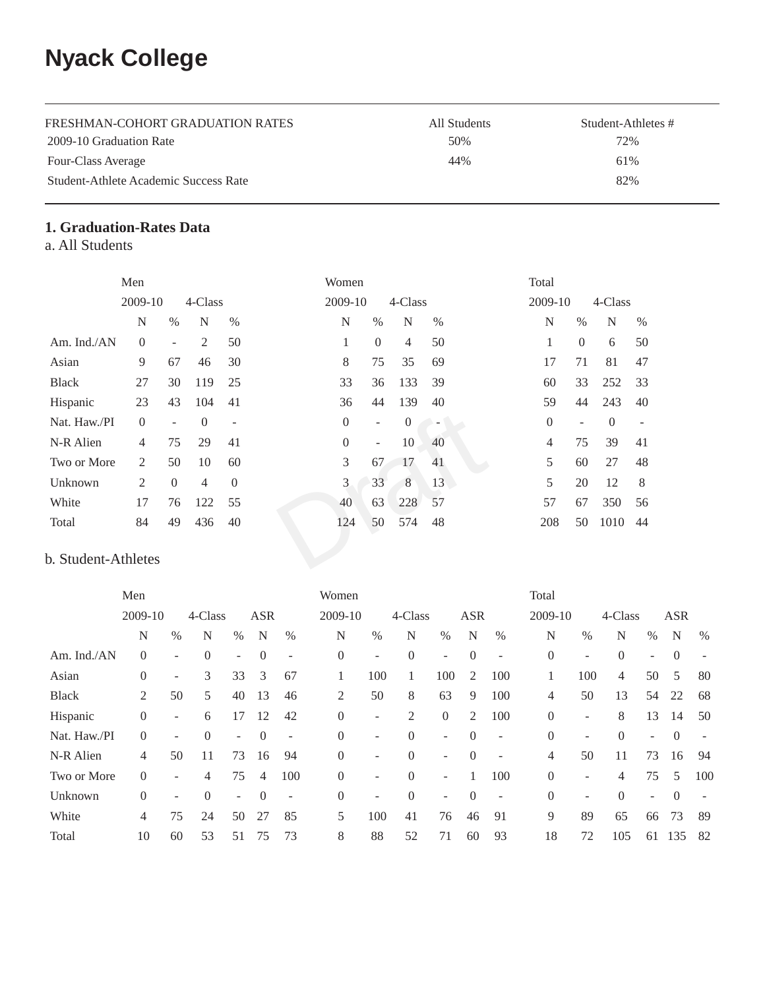# **Nyack College**

| FRESHMAN-COHORT GRADUATION RATES      | All Students | Student-Athletes # |
|---------------------------------------|--------------|--------------------|
| 2009-10 Graduation Rate               | 50%          | 72%                |
| Four-Class Average                    | 44%          | 61%                |
| Student-Athlete Academic Success Rate |              | 82%                |

# **1. Graduation-Rates Data**

a. All Students

|                     | Men            |                          |                |                          | Women          |                          |                  |                          | Total          |                          |          |      |
|---------------------|----------------|--------------------------|----------------|--------------------------|----------------|--------------------------|------------------|--------------------------|----------------|--------------------------|----------|------|
|                     | 2009-10        |                          | 4-Class        |                          | 2009-10        |                          | 4-Class          |                          | 2009-10        |                          | 4-Class  |      |
|                     | N              | $\%$                     | N              | $\%$                     | N              | $\%$                     | N                | %                        | N              | $\%$                     | N        | $\%$ |
| Am. Ind./AN         | $\Omega$       | ۰                        | 2              | 50                       | 1              | $\overline{0}$           | 4                | 50                       | 1              | $\overline{0}$           | 6        | 50   |
| Asian               | 9              | 67                       | 46             | 30                       | 8              | 75                       | 35               | 69                       | 17             | 71                       | 81       | 47   |
| <b>Black</b>        | 27             | 30                       | 119            | 25                       | 33             | 36                       | 133              | 39                       | 60             | 33                       | 252      | 33   |
| Hispanic            | 23             | 43                       | 104            | 41                       | 36             | 44                       | 139              | 40                       | 59             | 44                       | 243      | 40   |
| Nat. Haw./PI        | $\Omega$       | $\overline{\phantom{0}}$ | $\Omega$       | $\overline{\phantom{m}}$ | $\overline{0}$ | $\overline{\phantom{a}}$ | $\boldsymbol{0}$ | $\overline{\phantom{a}}$ | $\overline{0}$ | $\overline{\phantom{a}}$ | $\theta$ |      |
| N-R Alien           | $\overline{4}$ | 75                       | 29             | 41                       | $\overline{0}$ | $\overline{\phantom{a}}$ | 10               | 40                       | $\overline{4}$ | 75                       | 39       | 41   |
| Two or More         | 2              | 50                       | 10             | 60                       | 3              | 67                       | 17               | 41                       | 5              | 60                       | 27       | 48   |
| Unknown             | 2              | $\Omega$                 | $\overline{4}$ | $\Omega$                 | 3              | 33                       | 8                | 13                       | 5              | 20                       | 12       | 8    |
| White               | 17             | 76                       | 122            | 55                       | 40             | 63                       | 228              | 57                       | 57             | 67                       | 350      | 56   |
| Total               | 84             | 49                       | 436            | 40                       | 124            | 50                       | 574              | 48                       | 208            | 50                       | 1010     | 44   |
| b. Student-Athletes |                |                          |                |                          |                |                          |                  |                          |                |                          |          |      |
|                     |                |                          |                |                          |                |                          |                  |                          |                |                          |          |      |

### b. Student-Athletes

|              | Men            |                          |          |                          |                | Women          |                |      |                | Total                    |            |                          |                  |                          |                |                          |                |      |
|--------------|----------------|--------------------------|----------|--------------------------|----------------|----------------|----------------|------|----------------|--------------------------|------------|--------------------------|------------------|--------------------------|----------------|--------------------------|----------------|------|
|              | 2009-10        |                          | 4-Class  |                          | <b>ASR</b>     |                | 2009-10        |      | 4-Class        |                          | <b>ASR</b> |                          | 2009-10          |                          | 4-Class        |                          | <b>ASR</b>     |      |
|              | N              | $\%$                     | N        | $\%$                     | N              | $\%$           | N              | $\%$ | N              | $\%$                     | N          | $\%$                     | N                | $\%$                     | N              | $\%$                     | N              | $\%$ |
| Am. Ind./AN  | $\overline{0}$ | $\overline{\phantom{a}}$ | $\Omega$ | $\sim$                   | $\overline{0}$ | $\overline{a}$ | $\overline{0}$ | ۰    | $\theta$       | $\overline{\phantom{a}}$ | $\theta$   |                          | $\boldsymbol{0}$ | ٠                        | $\overline{0}$ | ÷                        | $\overline{0}$ |      |
| Asian        | 0              | $\overline{\phantom{a}}$ | 3        | 33                       | 3              | 67             |                | 100  | 1              | 100                      | 2          | 100                      | 1                | 100                      | $\overline{4}$ | 50                       | 5              | 80   |
| <b>Black</b> | 2              | 50                       | 5        | 40                       | 13             | 46             | 2              | 50   | 8              | 63                       | 9          | 100                      | 4                | 50                       | 13             | 54                       | 22             | 68   |
| Hispanic     | $\overline{0}$ | $\overline{\phantom{a}}$ | 6        | 17                       | 12             | 42             | $\Omega$       | ٠    | $\overline{2}$ | $\overline{0}$           | 2          | 100                      | $\overline{0}$   | $\overline{\phantom{a}}$ | 8              | 13                       | 14             | 50   |
| Nat. Haw./PI | $\mathbf{0}$   | $\overline{\phantom{a}}$ | $\Omega$ | $\overline{\phantom{a}}$ | $\theta$       | ۰              | $\Omega$       | ۰    | $\Omega$       | $\overline{\phantom{a}}$ | $\Omega$   |                          | $\overline{0}$   | $\overline{\phantom{a}}$ | $\Omega$       | $\overline{\phantom{0}}$ | $\Omega$       |      |
| N-R Alien    | 4              | 50                       | 11       | 73                       | 16             | 94             | $\overline{0}$ | ۰    | $\Omega$       | $\overline{\phantom{a}}$ | $\theta$   | $\overline{\phantom{a}}$ | 4                | 50                       | 11             | 73                       | 16             | 94   |
| Two or More  | $\overline{0}$ | $\overline{\phantom{a}}$ | 4        | 75                       | 4              | 100            | $\overline{0}$ | ٠    | $\Omega$       | $\overline{\phantom{a}}$ |            | 100                      | $\overline{0}$   | ٠                        | 4              | 75                       | 5              | 100  |
| Unknown      | $\overline{0}$ | $\overline{\phantom{a}}$ | $\Omega$ | $\sim$                   | $\Omega$       | ٠              | $\Omega$       | ۰    | $\Omega$       | $\overline{\phantom{a}}$ | $\Omega$   | $\overline{\phantom{a}}$ | $\overline{0}$   | $\overline{\phantom{a}}$ | $\Omega$       | $\sim$                   | $\theta$       |      |
| White        | 4              | 75                       | 24       | 50                       | 27             | 85             | 5              | 100  | 41             | 76                       | 46         | 91                       | 9                | 89                       | 65             | 66                       | 73             | 89   |
| Total        | 10             | 60                       | 53       | 51                       | 75             | 73             | 8              | 88   | 52             | 71                       | 60         | 93                       | 18               | 72                       | 105            | 61                       | 135            | 82   |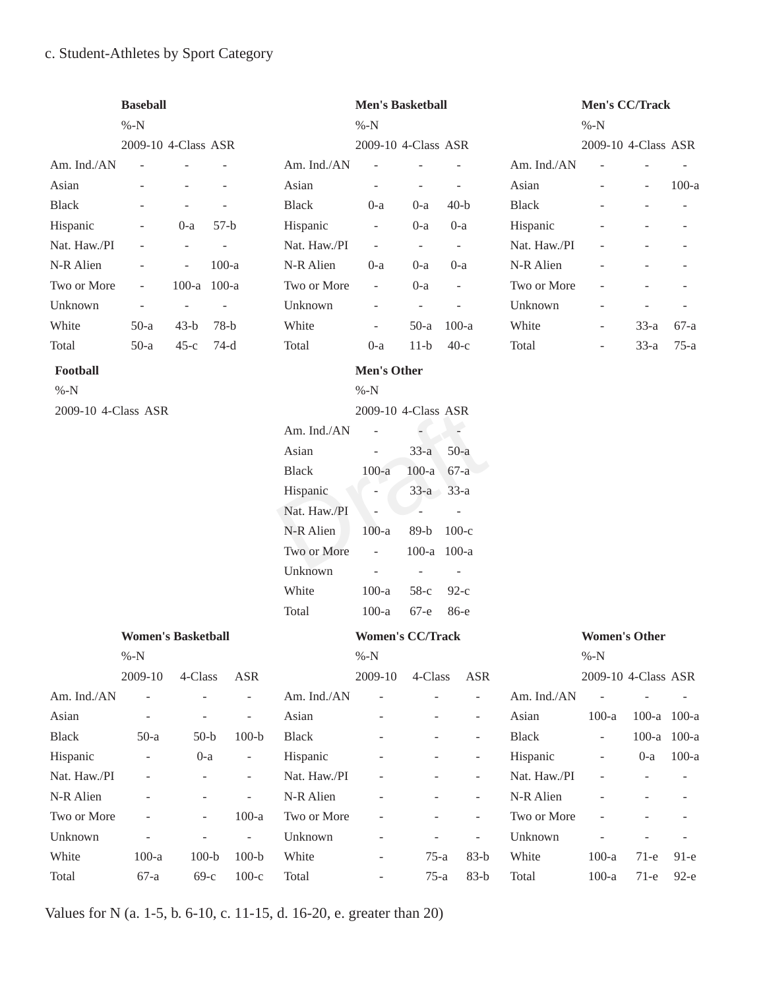# c. Student-Athletes by Sport Category

|                     | <b>Baseball</b>                     |                     |         |                          |              | <b>Men's Basketball</b>            |                          |                          |              | Men's CC/Track                 |                     |         |
|---------------------|-------------------------------------|---------------------|---------|--------------------------|--------------|------------------------------------|--------------------------|--------------------------|--------------|--------------------------------|---------------------|---------|
|                     | $\%$ -N                             |                     |         |                          |              | $% -N$                             |                          |                          |              | $% -N$                         |                     |         |
|                     | 2009-10 4-Class ASR                 |                     |         |                          |              | 2009-10 4-Class ASR                |                          |                          |              | 2009-10 4-Class ASR            |                     |         |
| Am. Ind./AN         |                                     |                     |         |                          | Am. Ind./AN  | $\overline{\phantom{a}}$           |                          |                          | Am. Ind./AN  |                                |                     |         |
| Asian               |                                     |                     |         |                          | Asian        | $\bar{\phantom{a}}$                |                          | $\overline{\phantom{a}}$ | Asian        |                                | $\bar{\phantom{a}}$ | $100-a$ |
| <b>Black</b>        |                                     |                     |         |                          | <b>Black</b> | $0-a$                              | $0-a$                    | $40-b$                   | <b>Black</b> |                                |                     |         |
| Hispanic            |                                     | $0-a$               | $57-b$  |                          | Hispanic     | $\Box$                             | $0-a$                    | $0-a$                    | Hispanic     |                                |                     |         |
| Nat. Haw./PI        |                                     | $\bar{\phantom{a}}$ |         |                          | Nat. Haw./PI | $\overline{\phantom{a}}$           | $\overline{\phantom{a}}$ | $\omega$                 | Nat. Haw./PI |                                |                     |         |
| N-R Alien           |                                     | $\blacksquare$      | $100-a$ |                          | N-R Alien    | $0-a$                              | $0-a$                    | $0-a$                    | N-R Alien    |                                |                     |         |
| Two or More         | $\overline{\phantom{a}}$            | $100-a$             | $100-a$ |                          | Two or More  | $\overline{\phantom{a}}$           | $0-a$                    | $\equiv$                 | Two or More  |                                |                     |         |
| Unknown             | $\bar{\phantom{a}}$                 |                     |         |                          | Unknown      | $\bar{\phantom{a}}$                | $\overline{\phantom{a}}$ | $\overline{\phantom{a}}$ | Unknown      |                                |                     |         |
| White               | $50-a$                              | $43-b$              | $78-b$  |                          | White        | $\overline{\phantom{a}}$           | $50-a$                   | $100-a$                  | White        | $\qquad \qquad \blacksquare$   | $33-a$              | $67-a$  |
| Total               | $50-a$                              | $45-c$              | $74-d$  |                          | Total        | $0-a$                              | $11-b$                   | $40-c$                   | Total        | $\bar{\phantom{a}}$            | $33-a$              | $75-a$  |
| Football            |                                     |                     |         |                          |              | <b>Men's Other</b>                 |                          |                          |              |                                |                     |         |
| $% -N$              |                                     |                     |         |                          |              | $% -N$                             |                          |                          |              |                                |                     |         |
| 2009-10 4-Class ASR |                                     |                     |         |                          |              | 2009-10 4-Class ASR                |                          |                          |              |                                |                     |         |
|                     |                                     |                     |         |                          | Am. Ind./AN  | $\overline{\phantom{a}}$           |                          |                          |              |                                |                     |         |
|                     |                                     |                     |         |                          | Asian        | ÷,                                 | $33-a$                   | $50-a$                   |              |                                |                     |         |
|                     |                                     |                     |         |                          | <b>Black</b> | $100-a$                            | $100-a$                  | $67-a$                   |              |                                |                     |         |
|                     |                                     |                     |         |                          | Hispanic     |                                    | $33-a$                   | $33-a$                   |              |                                |                     |         |
|                     |                                     |                     |         |                          | Nat. Haw./PI | ä,                                 | $\sim$                   | $\overline{a}$           |              |                                |                     |         |
|                     |                                     |                     |         |                          | N-R Alien    | $100-a$                            | $89-b$                   | $100-c$                  |              |                                |                     |         |
|                     |                                     |                     |         |                          | Two or More  | $\overline{\phantom{a}}$           | 100-a 100-a              |                          |              |                                |                     |         |
|                     |                                     |                     |         |                          | Unknown      | $\overline{\phantom{a}}$           | $\overline{\phantom{a}}$ | $\overline{\phantom{a}}$ |              |                                |                     |         |
|                     |                                     |                     |         |                          | White        | $100-a$                            | $58-c$                   | $92-c$                   |              |                                |                     |         |
|                     |                                     |                     |         |                          | Total        | $100-a$                            | $67-e$                   | 86-е                     |              |                                |                     |         |
|                     |                                     |                     |         |                          |              |                                    |                          |                          |              |                                |                     |         |
|                     | <b>Women's Basketball</b><br>$% -N$ |                     |         |                          |              | <b>Women's CC/Track</b><br>$\%$ -N |                          |                          |              | <b>Women's Other</b><br>$% -N$ |                     |         |
|                     | 2009-10                             | 4-Class             |         | <b>ASR</b>               |              | $2009 - 10$                        | 4-Class                  | <b>ASR</b>               |              | 2009-10 4-Class ASR            |                     |         |
| Am. Ind./AN         | $\frac{1}{2}$                       | $\overline{a}$      |         | $\overline{\phantom{a}}$ | Am. Ind./AN  |                                    |                          | ÷,                       | Am. Ind./AN  | $\Box$                         |                     |         |
| Asian               | $\frac{1}{2}$                       | $\blacksquare$      |         | $\overline{\phantom{a}}$ | Asian        |                                    |                          | $\blacksquare$           | Asian        | $100-a$                        | 100-a 100-a         |         |
| <b>Black</b>        | $50-a$                              | $50-b$              |         | $100-b$                  | <b>Black</b> |                                    |                          |                          | <b>Black</b> | L,                             | $100-a$             | $100-a$ |
| Hispanic            |                                     | $0-a$               |         | $\overline{\phantom{a}}$ | Hispanic     |                                    |                          | $\overline{a}$           | Hispanic     |                                | $0-a$               | $100-a$ |
| Nat. Haw./PI        |                                     | $\overline{a}$      |         | $\overline{\phantom{a}}$ | Nat. Haw./PI |                                    |                          | $\blacksquare$           | Nat. Haw./PI |                                | ÷,                  |         |
| N-R Alien           |                                     |                     |         |                          | N-R Alien    |                                    |                          |                          | N-R Alien    |                                |                     |         |
| Two or More         |                                     | $\frac{1}{2}$       |         | $100-a$                  | Two or More  |                                    |                          |                          | Two or More  |                                |                     |         |
| Unknown             |                                     | $\overline{a}$      |         | $\Box$                   | Unknown      |                                    |                          | $\overline{\phantom{a}}$ | Unknown      |                                |                     |         |
| White               | $100-a$                             | $100-b$             |         | $100-b$                  | White        |                                    | $75-a$                   | $83-b$                   | White        | $100-a$                        | $71-e$              | $91-e$  |
| Total               | $67-a$                              | $69-c$              |         | $100-c$                  | Total        | $\overline{\phantom{a}}$           | $75-a$                   | $83-b$                   | Total        | $100-a$                        | $71-e$              | $92-e$  |

Values for N (a. 1-5, b. 6-10, c. 11-15, d. 16-20, e. greater than 20)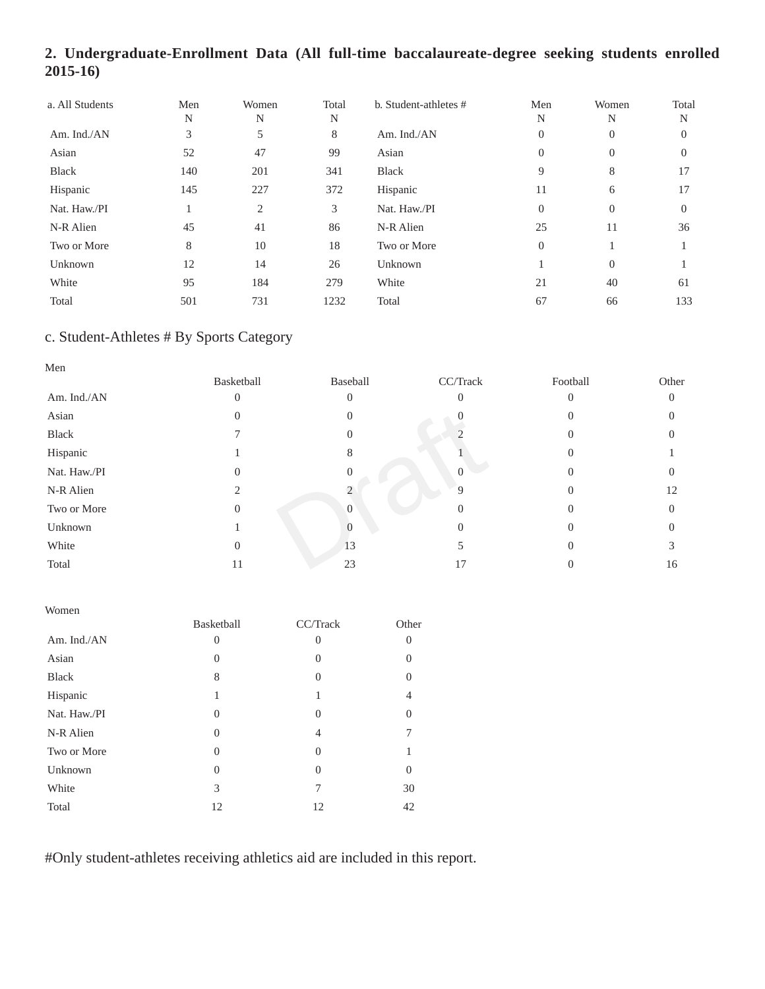# **2. Undergraduate-Enrollment Data (All full-time baccalaureate-degree seeking students enrolled 2015-16)**

| a. All Students | Men<br>N | Women<br>N     | Total<br>N | b. Student-athletes # | Men<br>N | Women<br>N | Total<br>N |
|-----------------|----------|----------------|------------|-----------------------|----------|------------|------------|
| Am. Ind./AN     | 3        | 5              | 8          | Am. Ind./AN           | $\theta$ | 0          | $\sigma$   |
| Asian           | 52       | 47             | 99         | Asian                 | $\Omega$ | $\Omega$   | $\Omega$   |
| <b>Black</b>    | 140      | 201            | 341        | <b>Black</b>          | 9        | 8          | 17         |
| Hispanic        | 145      | 227            | 372        | Hispanic              | 11       | 6          | 17         |
| Nat. Haw./PI    |          | $\mathfrak{2}$ | 3          | Nat. Haw./PI          | $\Omega$ | $\Omega$   | $\Omega$   |
| N-R Alien       | 45       | 41             | 86         | N-R Alien             | 25       | 11         | 36         |
| Two or More     | 8        | 10             | 18         | Two or More           | $\Omega$ |            |            |
| Unknown         | 12       | 14             | 26         | Unknown               |          | $\Omega$   |            |
| White           | 95       | 184            | 279        | White                 | 21       | 40         | 61         |
| Total           | 501      | 731            | 1232       | Total                 | 67       | 66         | 133        |

# c. Student-Athletes # By Sports Category

| Men          |            |          |          |          |          |
|--------------|------------|----------|----------|----------|----------|
|              | Basketball | Baseball | CC/Track | Football | Other    |
| Am. Ind./AN  |            |          | $\Omega$ |          | $\Omega$ |
| Asian        | U          |          | U        |          |          |
| Black        |            |          |          |          |          |
| Hispanic     |            | х        |          |          |          |
| Nat. Haw./PI |            |          |          |          |          |
| N-R Alien    |            |          | 9        |          | 12       |
| Two or More  |            | $\Omega$ | $\Omega$ |          |          |
| Unknown      |            |          | $\theta$ |          |          |
| White        | 0          | 13       |          |          |          |
| Total        | 11         | 23       | 17       |          | 16       |

| Women        |            |                |          |
|--------------|------------|----------------|----------|
|              | Basketball | CC/Track       | Other    |
| Am. Ind./AN  | $\theta$   | $\overline{0}$ | 0        |
| Asian        | 0          | $\Omega$       | $\theta$ |
| <b>Black</b> | 8          | $\Omega$       | 0        |
| Hispanic     | 1          | 1              | 4        |
| Nat. Haw./PI | 0          | $\Omega$       | 0        |
| N-R Alien    | $\Omega$   | 4              | 7        |
| Two or More  | $\Omega$   | $\theta$       |          |
| Unknown      | 0          | $\Omega$       | 0        |
| White        | 3          | 7              | 30       |
| Total        | 12         | 12             | 42       |

#Only student-athletes receiving athletics aid are included in this report.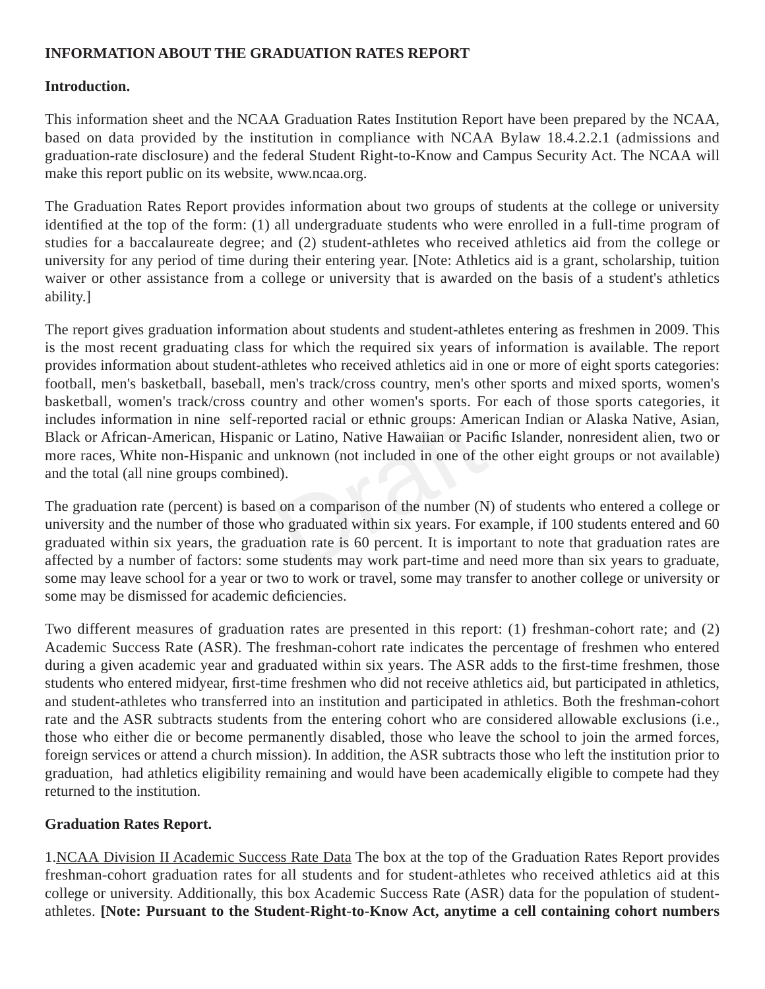#### **INFORMATION ABOUT THE GRADUATION RATES REPORT**

#### **Introduction.**

This information sheet and the NCAA Graduation Rates Institution Report have been prepared by the NCAA, based on data provided by the institution in compliance with NCAA Bylaw 18.4.2.2.1 (admissions and graduation-rate disclosure) and the federal Student Right-to-Know and Campus Security Act. The NCAA will make this report public on its website, www.ncaa.org.

The Graduation Rates Report provides information about two groups of students at the college or university identified at the top of the form: (1) all undergraduate students who were enrolled in a full-time program of studies for a baccalaureate degree; and (2) student-athletes who received athletics aid from the college or university for any period of time during their entering year. [Note: Athletics aid is a grant, scholarship, tuition waiver or other assistance from a college or university that is awarded on the basis of a student's athletics ability.]

The report gives graduation information about students and student-athletes entering as freshmen in 2009. This is the most recent graduating class for which the required six years of information is available. The report provides information about student-athletes who received athletics aid in one or more of eight sports categories: football, men's basketball, baseball, men's track/cross country, men's other sports and mixed sports, women's basketball, women's track/cross country and other women's sports. For each of those sports categories, it includes information in nine self-reported racial or ethnic groups: American Indian or Alaska Native, Asian, Black or African-American, Hispanic or Latino, Native Hawaiian or Pacific Islander, nonresident alien, two or more races, White non-Hispanic and unknown (not included in one of the other eight groups or not available) and the total (all nine groups combined).

orted racial or ethnic groups: Amer<br>or Latino, Native Hawaiian or Pacit<br>unknown (not included in one of the<br>d).<br>on a comparison of the number (N)<br>oo graduated within six years. For ex<br>ation rate is 60 percent. It is impore The graduation rate (percent) is based on a comparison of the number (N) of students who entered a college or university and the number of those who graduated within six years. For example, if 100 students entered and 60 graduated within six years, the graduation rate is 60 percent. It is important to note that graduation rates are affected by a number of factors: some students may work part-time and need more than six years to graduate, some may leave school for a year or two to work or travel, some may transfer to another college or university or some may be dismissed for academic deficiencies.

Two different measures of graduation rates are presented in this report: (1) freshman-cohort rate; and (2) Academic Success Rate (ASR). The freshman-cohort rate indicates the percentage of freshmen who entered during a given academic year and graduated within six years. The ASR adds to the first-time freshmen, those students who entered midyear, first-time freshmen who did not receive athletics aid, but participated in athletics, and student-athletes who transferred into an institution and participated in athletics. Both the freshman-cohort rate and the ASR subtracts students from the entering cohort who are considered allowable exclusions (i.e., those who either die or become permanently disabled, those who leave the school to join the armed forces, foreign services or attend a church mission). In addition, the ASR subtracts those who left the institution prior to graduation, had athletics eligibility remaining and would have been academically eligible to compete had they returned to the institution.

#### **Graduation Rates Report.**

1. NCAA Division II Academic Success Rate Data The box at the top of the Graduation Rates Report provides freshman-cohort graduation rates for all students and for student-athletes who received athletics aid at this college or university. Additionally, this box Academic Success Rate (ASR) data for the population of studentathletes. **[Note: Pursuant to the Student-Right-to-Know Act, anytime a cell containing cohort numbers**